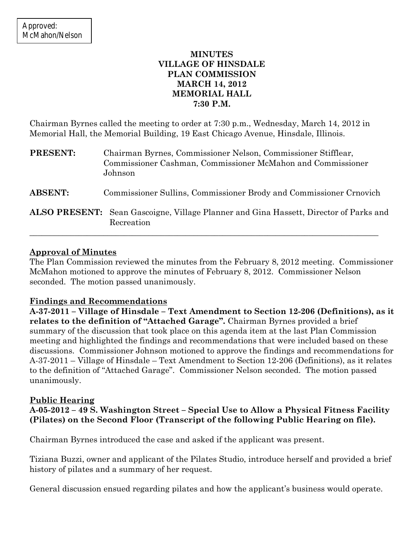## **MINUTES VILLAGE OF HINSDALE PLAN COMMISSION MARCH 14, 2012 MEMORIAL HALL 7:30 P.M.**

Chairman Byrnes called the meeting to order at 7:30 p.m., Wednesday, March 14, 2012 in Memorial Hall, the Memorial Building, 19 East Chicago Avenue, Hinsdale, Illinois.

| <b>PRESENT:</b> | Chairman Byrnes, Commissioner Nelson, Commissioner Stifflear,<br>Commissioner Cashman, Commissioner McMahon and Commissioner<br>Johnson |
|-----------------|-----------------------------------------------------------------------------------------------------------------------------------------|
| <b>ABSENT:</b>  | Commissioner Sullins, Commissioner Brody and Commissioner Crnovich                                                                      |
|                 | <b>ALSO PRESENT:</b> Sean Gascoigne, Village Planner and Gina Hassett, Director of Parks and<br>Recreation                              |

## **Approval of Minutes**

The Plan Commission reviewed the minutes from the February 8, 2012 meeting. Commissioner McMahon motioned to approve the minutes of February 8, 2012. Commissioner Nelson seconded. The motion passed unanimously.

## **Findings and Recommendations**

**A-37-2011 – Village of Hinsdale – Text Amendment to Section 12-206 (Definitions), as it relates to the definition of "Attached Garage".** Chairman Byrnes provided a brief summary of the discussion that took place on this agenda item at the last Plan Commission meeting and highlighted the findings and recommendations that were included based on these discussions. Commissioner Johnson motioned to approve the findings and recommendations for A-37-2011 – Village of Hinsdale – Text Amendment to Section 12-206 (Definitions), as it relates to the definition of "Attached Garage". Commissioner Nelson seconded. The motion passed unanimously.

# **Public Hearing**

**A-05-2012 – 49 S. Washington Street – Special Use to Allow a Physical Fitness Facility (Pilates) on the Second Floor (Transcript of the following Public Hearing on file).**

Chairman Byrnes introduced the case and asked if the applicant was present.

Tiziana Buzzi, owner and applicant of the Pilates Studio, introduce herself and provided a brief history of pilates and a summary of her request.

General discussion ensued regarding pilates and how the applicant's business would operate.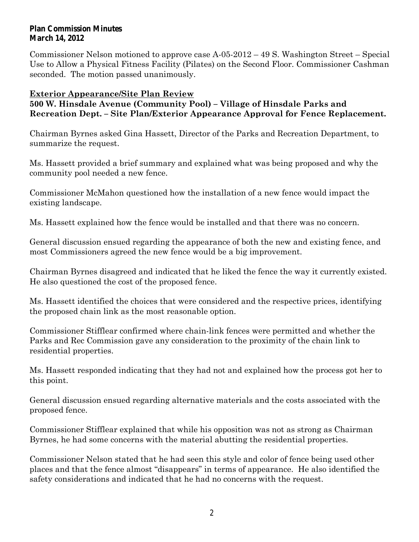#### **Plan Commission Minutes March 14, 2012**

Commissioner Nelson motioned to approve case A-05-2012 – 49 S. Washington Street – Special Use to Allow a Physical Fitness Facility (Pilates) on the Second Floor. Commissioner Cashman seconded. The motion passed unanimously.

## **Exterior Appearance/Site Plan Review**

## **500 W. Hinsdale Avenue (Community Pool) – Village of Hinsdale Parks and Recreation Dept. – Site Plan/Exterior Appearance Approval for Fence Replacement.**

Chairman Byrnes asked Gina Hassett, Director of the Parks and Recreation Department, to summarize the request.

Ms. Hassett provided a brief summary and explained what was being proposed and why the community pool needed a new fence.

Commissioner McMahon questioned how the installation of a new fence would impact the existing landscape.

Ms. Hassett explained how the fence would be installed and that there was no concern.

General discussion ensued regarding the appearance of both the new and existing fence, and most Commissioners agreed the new fence would be a big improvement.

Chairman Byrnes disagreed and indicated that he liked the fence the way it currently existed. He also questioned the cost of the proposed fence.

Ms. Hassett identified the choices that were considered and the respective prices, identifying the proposed chain link as the most reasonable option.

Commissioner Stifflear confirmed where chain-link fences were permitted and whether the Parks and Rec Commission gave any consideration to the proximity of the chain link to residential properties.

Ms. Hassett responded indicating that they had not and explained how the process got her to this point.

General discussion ensued regarding alternative materials and the costs associated with the proposed fence.

Commissioner Stifflear explained that while his opposition was not as strong as Chairman Byrnes, he had some concerns with the material abutting the residential properties.

Commissioner Nelson stated that he had seen this style and color of fence being used other places and that the fence almost "disappears" in terms of appearance. He also identified the safety considerations and indicated that he had no concerns with the request.